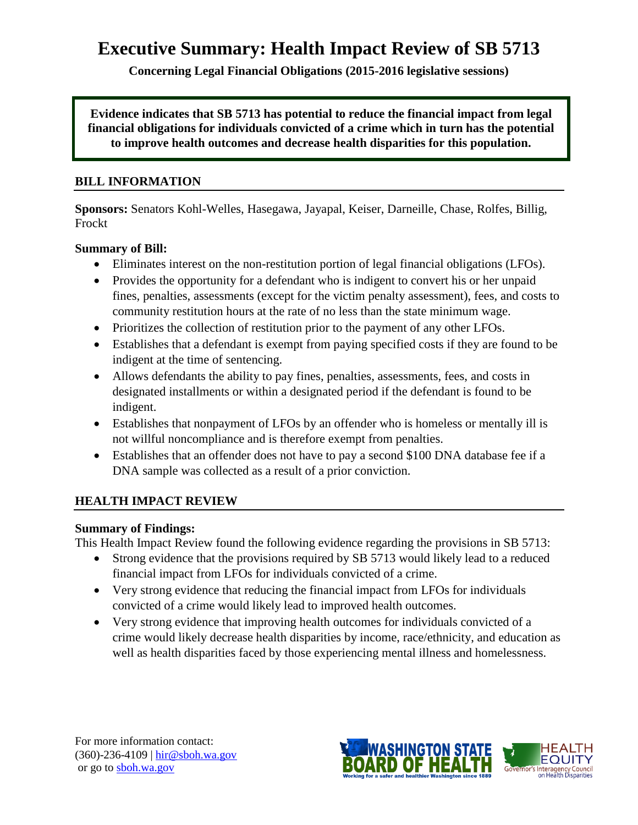# **Executive Summary: Health Impact Review of SB 5713**

**Concerning Legal Financial Obligations (2015-2016 legislative sessions)**

**Evidence indicates that SB 5713 has potential to reduce the financial impact from legal financial obligations for individuals convicted of a crime which in turn has the potential to improve health outcomes and decrease health disparities for this population.**

#### **BILL INFORMATION**

**Sponsors:** Senators Kohl-Welles, Hasegawa, Jayapal, Keiser, Darneille, Chase, Rolfes, Billig, Frockt

#### **Summary of Bill:**

- Eliminates interest on the non-restitution portion of legal financial obligations (LFOs).
- Provides the opportunity for a defendant who is indigent to convert his or her unpaid fines, penalties, assessments (except for the victim penalty assessment), fees, and costs to community restitution hours at the rate of no less than the state minimum wage.
- Prioritizes the collection of restitution prior to the payment of any other LFOs.
- Establishes that a defendant is exempt from paying specified costs if they are found to be indigent at the time of sentencing.
- Allows defendants the ability to pay fines, penalties, assessments, fees, and costs in designated installments or within a designated period if the defendant is found to be indigent.
- Establishes that nonpayment of LFOs by an offender who is homeless or mentally ill is not willful noncompliance and is therefore exempt from penalties.
- Establishes that an offender does not have to pay a second \$100 DNA database fee if a DNA sample was collected as a result of a prior conviction.

#### **HEALTH IMPACT REVIEW**

#### **Summary of Findings:**

This Health Impact Review found the following evidence regarding the provisions in SB 5713:

- Strong evidence that the provisions required by SB 5713 would likely lead to a reduced financial impact from LFOs for individuals convicted of a crime.
- Very strong evidence that reducing the financial impact from LFOs for individuals convicted of a crime would likely lead to improved health outcomes.
- Very strong evidence that improving health outcomes for individuals convicted of a crime would likely decrease health disparities by income, race/ethnicity, and education as well as health disparities faced by those experiencing mental illness and homelessness.

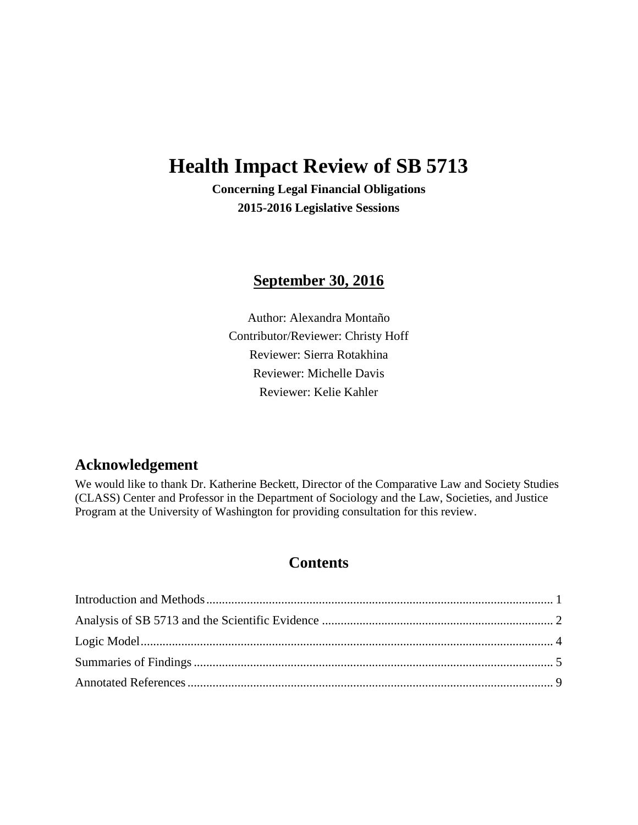# **Health Impact Review of SB 5713**

**Concerning Legal Financial Obligations 2015-2016 Legislative Sessions**

# **September 30, 2016**

Author: Alexandra Montaño Contributor/Reviewer: Christy Hoff Reviewer: Sierra Rotakhina Reviewer: Michelle Davis Reviewer: Kelie Kahler

# **Acknowledgement**

We would like to thank Dr. Katherine Beckett, Director of the Comparative Law and Society Studies (CLASS) Center and Professor in the Department of Sociology and the Law, Societies, and Justice Program at the University of Washington for providing consultation for this review.

# **Contents**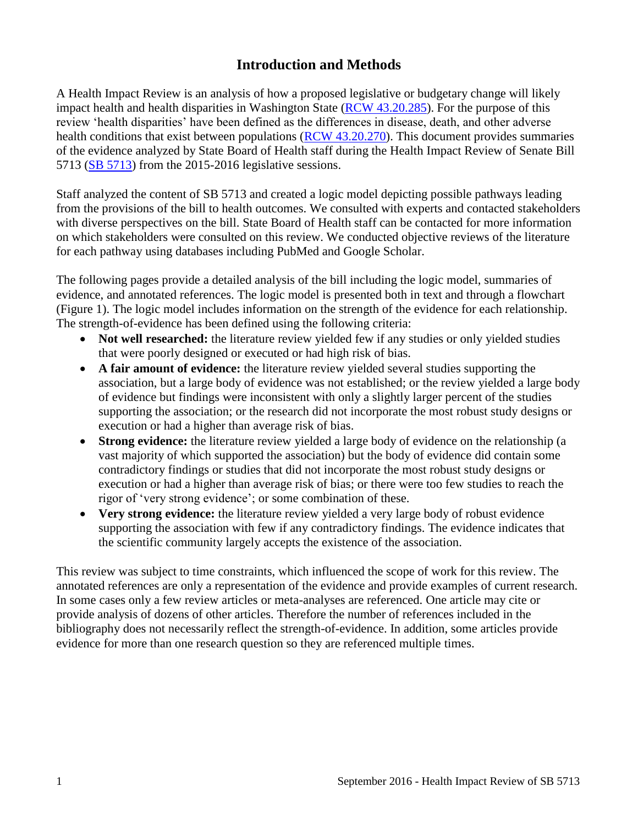# **Introduction and Methods**

<span id="page-2-0"></span>A Health Impact Review is an analysis of how a proposed legislative or budgetary change will likely impact health and health disparities in Washington State [\(RCW 43.20.285\)](http://apps.leg.wa.gov/rcw/default.aspx?cite=43.20.285). For the purpose of this review 'health disparities' have been defined as the differences in disease, death, and other adverse health conditions that exist between populations [\(RCW 43.20.270\)](http://apps.leg.wa.gov/rcw/default.aspx?cite=43.20.270). This document provides summaries of the evidence analyzed by State Board of Health staff during the Health Impact Review of Senate Bill 5713 [\(SB 5713\)](http://app.leg.wa.gov/billinfo/summary.aspx?bill=5713&year=2015) from the 2015-2016 legislative sessions.

Staff analyzed the content of SB 5713 and created a logic model depicting possible pathways leading from the provisions of the bill to health outcomes. We consulted with experts and contacted stakeholders with diverse perspectives on the bill. State Board of Health staff can be contacted for more information on which stakeholders were consulted on this review. We conducted objective reviews of the literature for each pathway using databases including PubMed and Google Scholar.

The following pages provide a detailed analysis of the bill including the logic model, summaries of evidence, and annotated references. The logic model is presented both in text and through a flowchart (Figure 1). The logic model includes information on the strength of the evidence for each relationship. The strength-of-evidence has been defined using the following criteria:

- Not well researched: the literature review yielded few if any studies or only yielded studies that were poorly designed or executed or had high risk of bias.
- **A fair amount of evidence:** the literature review yielded several studies supporting the association, but a large body of evidence was not established; or the review yielded a large body of evidence but findings were inconsistent with only a slightly larger percent of the studies supporting the association; or the research did not incorporate the most robust study designs or execution or had a higher than average risk of bias.
- **Strong evidence:** the literature review yielded a large body of evidence on the relationship (a vast majority of which supported the association) but the body of evidence did contain some contradictory findings or studies that did not incorporate the most robust study designs or execution or had a higher than average risk of bias; or there were too few studies to reach the rigor of 'very strong evidence'; or some combination of these.
- **Very strong evidence:** the literature review yielded a very large body of robust evidence supporting the association with few if any contradictory findings. The evidence indicates that the scientific community largely accepts the existence of the association.

This review was subject to time constraints, which influenced the scope of work for this review. The annotated references are only a representation of the evidence and provide examples of current research. In some cases only a few review articles or meta-analyses are referenced. One article may cite or provide analysis of dozens of other articles. Therefore the number of references included in the bibliography does not necessarily reflect the strength-of-evidence. In addition, some articles provide evidence for more than one research question so they are referenced multiple times.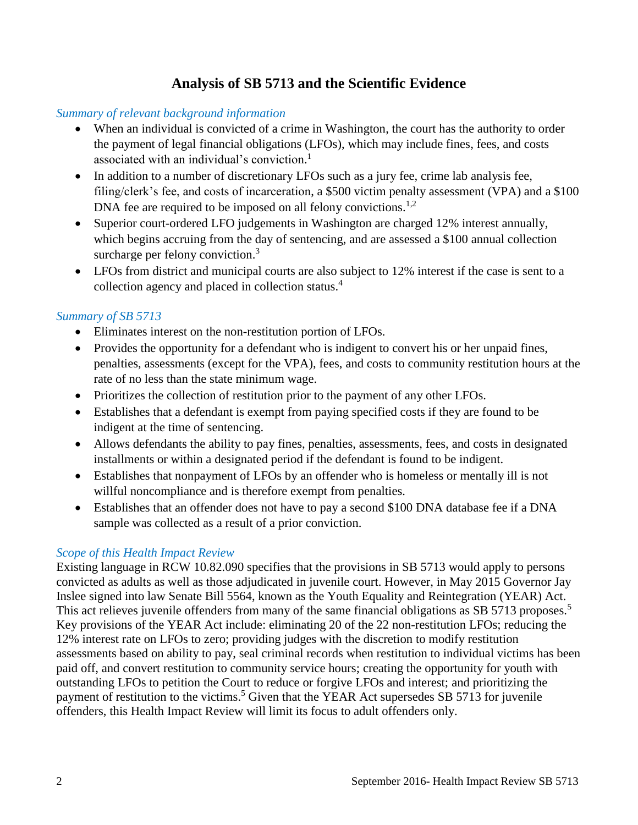# **Analysis of SB 5713 and the Scientific Evidence**

#### <span id="page-3-0"></span>*Summary of relevant background information*

- When an individual is convicted of a crime in Washington, the court has the authority to order the payment of legal financial obligations (LFOs), which may include fines, fees, and costs associated with an individual's conviction. [1](#page-10-1)
- In addition to a number of discretionary LFOs such as a jury fee, crime lab analysis fee, filing/clerk's fee, and costs of incarceration, a \$500 victim penalty assessment (VPA) and a \$100 DNA fee are required to be imposed on all felony convictions.<sup>[1,](#page-10-1)[2](#page-10-2)</sup>
- Superior court-ordered LFO judgements in Washington are charged 12% interest annually, which begins accruing from the day of sentencing, and are assessed a \$100 annual collection surcharge per felony conviction.<sup>[3](#page-10-3)</sup>
- LFOs from district and municipal courts are also subject to 12% interest if the case is sent to a collection agency and placed in collection status.[4](#page-11-0)

#### *Summary of SB 5713*

- Eliminates interest on the non-restitution portion of LFOs.
- Provides the opportunity for a defendant who is indigent to convert his or her unpaid fines, penalties, assessments (except for the VPA), fees, and costs to community restitution hours at the rate of no less than the state minimum wage.
- Prioritizes the collection of restitution prior to the payment of any other LFOs.
- Establishes that a defendant is exempt from paying specified costs if they are found to be indigent at the time of sentencing.
- Allows defendants the ability to pay fines, penalties, assessments, fees, and costs in designated installments or within a designated period if the defendant is found to be indigent.
- Establishes that nonpayment of LFOs by an offender who is homeless or mentally ill is not willful noncompliance and is therefore exempt from penalties.
- Establishes that an offender does not have to pay a second \$100 DNA database fee if a DNA sample was collected as a result of a prior conviction.

# *Scope of this Health Impact Review*

Existing language in RCW 10.82.090 specifies that the provisions in SB 5713 would apply to persons convicted as adults as well as those adjudicated in juvenile court. However, in May 2015 Governor Jay Inslee signed into law Senate Bill 5564, known as the Youth Equality and Reintegration (YEAR) Act. This act relieves juvenile offenders from many of the same financial obligations as SB [5](#page-11-1)713 proposes.<sup>5</sup> Key provisions of the YEAR Act include: eliminating 20 of the 22 non-restitution LFOs; reducing the 12% interest rate on LFOs to zero; providing judges with the discretion to modify restitution assessments based on ability to pay, seal criminal records when restitution to individual victims has been paid off, and convert restitution to community service hours; creating the opportunity for youth with outstanding LFOs to petition the Court to reduce or forgive LFOs and interest; and prioritizing the payment of restitution to the victims.<sup>[5](#page-11-1)</sup> Given that the YEAR Act supersedes SB 5713 for juvenile offenders, this Health Impact Review will limit its focus to adult offenders only.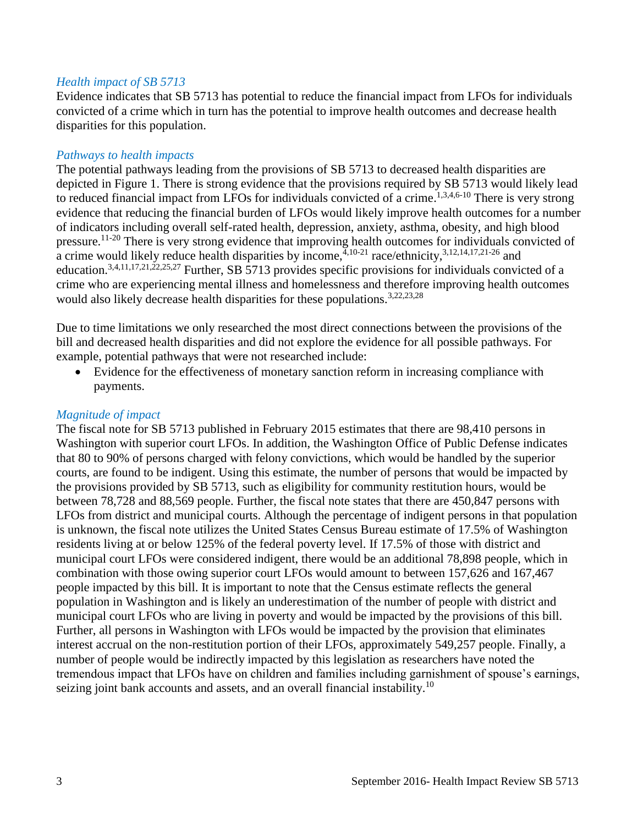#### *Health impact of SB 5713*

Evidence indicates that SB 5713 has potential to reduce the financial impact from LFOs for individuals convicted of a crime which in turn has the potential to improve health outcomes and decrease health disparities for this population.

#### *Pathways to health impacts*

The potential pathways leading from the provisions of SB 5713 to decreased health disparities are depicted in Figure 1. There is strong evidence that the provisions required by SB 5713 would likely lead to reduced financial impact from LFOs for individuals convicted of a crime.<sup>[1](#page-10-1)[,3](#page-10-3)[,4](#page-11-0)[,6-10](#page-11-2)</sup> There is very strong evidence that reducing the financial burden of LFOs would likely improve health outcomes for a number of indicators including overall self-rated health, depression, anxiety, asthma, obesity, and high blood pressure.[11-20](#page-13-0) There is very strong evidence that improving health outcomes for individuals convicted of a crime would likely reduce health disparities by income,  $\frac{4}{3}$  $\frac{4}{3}$  $\frac{4}{3}$ , 10-21 race/ethnicity,  $3,12,14,17,21-26$  $3,12,14,17,21-26$  $3,12,14,17,21-26$  $3,12,14,17,21-26$  $3,12,14,17,21-26$  and education.<sup>[3,](#page-10-3)[4,](#page-11-0)[11,](#page-13-0)[17,](#page-14-1)[21,](#page-16-0)[22,](#page-16-1)[25,](#page-17-0)[27](#page-17-1)</sup> Further, SB 5713 provides specific provisions for individuals convicted of a crime who are experiencing mental illness and homelessness and therefore improving health outcomes would also likely decrease health disparities for these populations.<sup>[3](#page-10-3)[,22](#page-16-1)[,23](#page-16-2)[,28](#page-18-0)</sup>

Due to time limitations we only researched the most direct connections between the provisions of the bill and decreased health disparities and did not explore the evidence for all possible pathways. For example, potential pathways that were not researched include:

 Evidence for the effectiveness of monetary sanction reform in increasing compliance with payments.

#### *Magnitude of impact*

The fiscal note for SB 5713 published in February 2015 estimates that there are 98,410 persons in Washington with superior court LFOs. In addition, the Washington Office of Public Defense indicates that 80 to 90% of persons charged with felony convictions, which would be handled by the superior courts, are found to be indigent. Using this estimate, the number of persons that would be impacted by the provisions provided by SB 5713, such as eligibility for community restitution hours, would be between 78,728 and 88,569 people. Further, the fiscal note states that there are 450,847 persons with LFOs from district and municipal courts. Although the percentage of indigent persons in that population is unknown, the fiscal note utilizes the United States Census Bureau estimate of 17.5% of Washington residents living at or below 125% of the federal poverty level. If 17.5% of those with district and municipal court LFOs were considered indigent, there would be an additional 78,898 people, which in combination with those owing superior court LFOs would amount to between 157,626 and 167,467 people impacted by this bill. It is important to note that the Census estimate reflects the general population in Washington and is likely an underestimation of the number of people with district and municipal court LFOs who are living in poverty and would be impacted by the provisions of this bill. Further, all persons in Washington with LFOs would be impacted by the provision that eliminates interest accrual on the non-restitution portion of their LFOs, approximately 549,257 people. Finally, a number of people would be indirectly impacted by this legislation as researchers have noted the tremendous impact that LFOs have on children and families including garnishment of spouse's earnings, seizing joint bank accounts and assets, and an overall financial instability.<sup>[10](#page-13-1)</sup>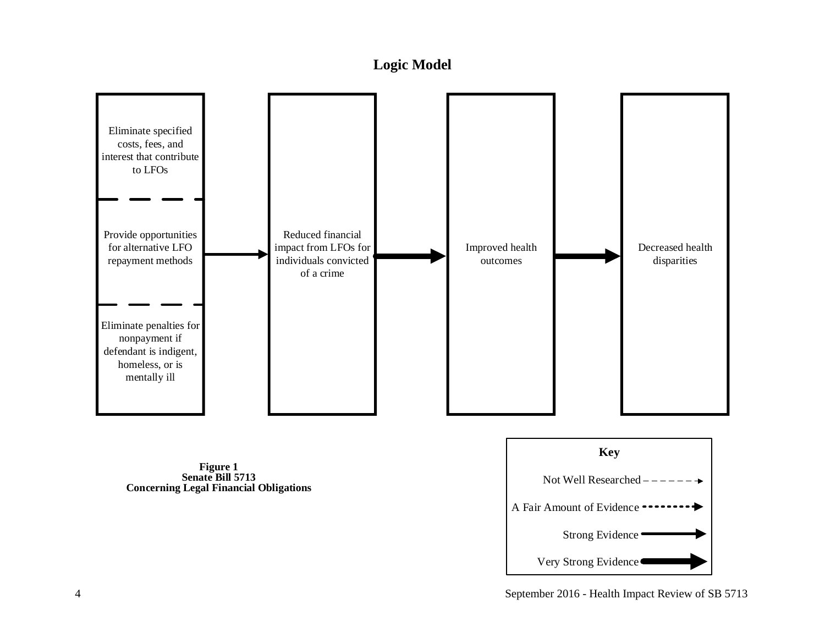# **Logic Model**

<span id="page-5-0"></span>

**Concerning Legal Financial Obligations**



4 September 2016 - Health Impact Review of SB 5713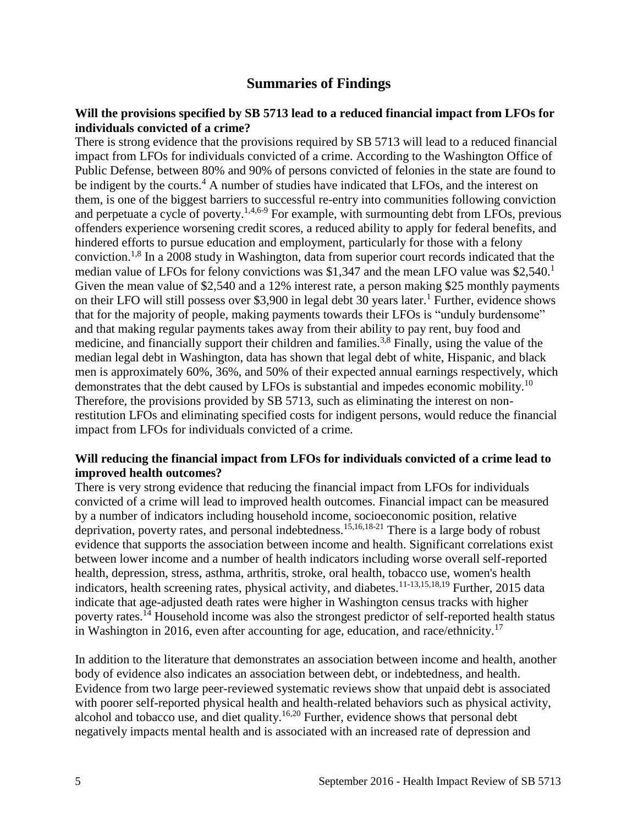# **Summaries of Findings**

#### <span id="page-6-0"></span>**Will the provisions specified by SB 5713 lead to a reduced financial impact from LFOs for individuals convicted of a crime?**

There is strong evidence that the provisions required by SB 5713 will lead to a reduced financial impact from LFOs for individuals convicted of a crime. According to the Washington Office of Public Defense, between 80% and 90% of persons convicted of felonies in the state are found to be indigent by the courts.<sup>[4](#page-11-0)</sup> A number of studies have indicated that LFOs, and the interest on them, is one of the biggest barriers to successful re-entry into communities following conviction and perpetuate a cycle of poverty.<sup>[1,](#page-10-1)[4,](#page-11-0)[6-9](#page-11-2)</sup> For example, with surmounting debt from LFOs, previous offenders experience worsening credit scores, a reduced ability to apply for federal benefits, and hindered efforts to pursue education and employment, particularly for those with a felony conviction.<sup>[1,](#page-10-1)[8](#page-12-0)</sup> In a 2008 study in Washington, data from superior court records indicated that the median value of LFOs for felony convictions was \$[1](#page-10-1),347 and the mean LFO value was  $$2,540<sup>1</sup>$ Given the mean value of \$2,540 and a 12% interest rate, a person making \$25 monthly payments on their LFO will still possess over \$3,900 in legal debt 30 years later.<sup>[1](#page-10-1)</sup> Further, evidence shows that for the majority of people, making payments towards their LFOs is "unduly burdensome" and that making regular payments takes away from their ability to pay rent, buy food and medicine, and financially support their children and families.<sup>[3](#page-10-3)[,8](#page-12-0)</sup> Finally, using the value of the median legal debt in Washington, data has shown that legal debt of white, Hispanic, and black men is approximately 60%, 36%, and 50% of their expected annual earnings respectively, which demonstrates that the debt caused by LFOs is substantial and impedes economic mobility.<sup>[10](#page-13-1)</sup> Therefore, the provisions provided by SB 5713, such as eliminating the interest on nonrestitution LFOs and eliminating specified costs for indigent persons, would reduce the financial impact from LFOs for individuals convicted of a crime.

#### **Will reducing the financial impact from LFOs for individuals convicted of a crime lead to improved health outcomes?**

There is very strong evidence that reducing the financial impact from LFOs for individuals convicted of a crime will lead to improved health outcomes. Financial impact can be measured by a number of indicators including household income, socioeconomic position, relative deprivation, poverty rates, and personal indebtedness.[15](#page-14-2)[,16](#page-14-3)[,18-21](#page-15-0) There is a large body of robust evidence that supports the association between income and health. Significant correlations exist between lower income and a number of health indicators including worse overall self-reported health, depression, stress, asthma, arthritis, stroke, oral health, tobacco use, women's health indicators, health screening rates, physical activity, and diabetes.[11-13,](#page-13-0)[15,](#page-14-2)[18,](#page-15-0)[19](#page-15-1) Further, 2015 data indicate that age-adjusted death rates were higher in Washington census tracks with higher poverty rates.[14](#page-14-0) Household income was also the strongest predictor of self-reported health status in Washington in 2016, even after accounting for age, education, and race/ethnicity.<sup>[17](#page-14-1)</sup>

In addition to the literature that demonstrates an association between income and health, another body of evidence also indicates an association between debt, or indebtedness, and health. Evidence from two large peer-reviewed systematic reviews show that unpaid debt is associated with poorer self-reported physical health and health-related behaviors such as physical activity, alcohol and tobacco use, and diet quality.<sup>[16,](#page-14-3)[20](#page-15-2)</sup> Further, evidence shows that personal debt negatively impacts mental health and is associated with an increased rate of depression and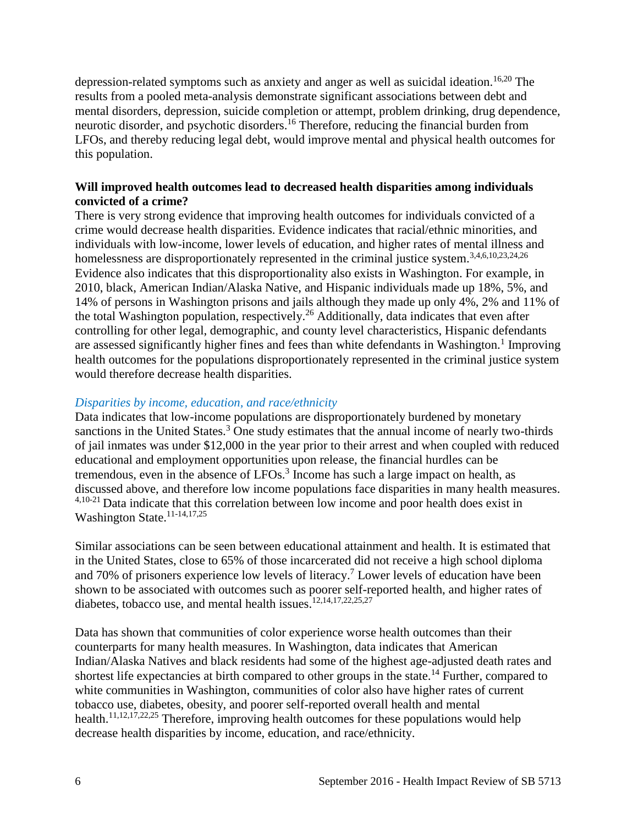depression-related symptoms such as anxiety and anger as well as suicidal ideation.<sup>[16](#page-14-3)[,20](#page-15-2)</sup> The results from a pooled meta-analysis demonstrate significant associations between debt and mental disorders, depression, suicide completion or attempt, problem drinking, drug dependence, neurotic disorder, and psychotic disorders.[16](#page-14-3) Therefore, reducing the financial burden from LFOs, and thereby reducing legal debt, would improve mental and physical health outcomes for this population.

#### **Will improved health outcomes lead to decreased health disparities among individuals convicted of a crime?**

There is very strong evidence that improving health outcomes for individuals convicted of a crime would decrease health disparities. Evidence indicates that racial/ethnic minorities, and individuals with low-income, lower levels of education, and higher rates of mental illness and homelessness are disproportionately represented in the criminal justice system.<sup>[3](#page-10-3)[,4](#page-11-0)[,6](#page-11-2)[,10](#page-13-1)[,23](#page-16-2)[,24](#page-17-2)[,26](#page-17-3)</sup> Evidence also indicates that this disproportionality also exists in Washington. For example, in 2010, black, American Indian/Alaska Native, and Hispanic individuals made up 18%, 5%, and 14% of persons in Washington prisons and jails although they made up only 4%, 2% and 11% of the total Washington population, respectively.[26](#page-17-3) Additionally, data indicates that even after controlling for other legal, demographic, and county level characteristics, Hispanic defendants are assessed significantly higher fines and fees than white defendants in Washington.<sup>[1](#page-10-1)</sup> Improving health outcomes for the populations disproportionately represented in the criminal justice system would therefore decrease health disparities.

#### *Disparities by income, education, and race/ethnicity*

Data indicates that low-income populations are disproportionately burdened by monetary sanctions in the United States.<sup>[3](#page-10-3)</sup> One study estimates that the annual income of nearly two-thirds of jail inmates was under \$12,000 in the year prior to their arrest and when coupled with reduced educational and employment opportunities upon release, the financial hurdles can be tremendous, even in the absence of  $LFOs<sup>3</sup>$  $LFOs<sup>3</sup>$  $LFOs<sup>3</sup>$  Income has such a large impact on health, as discussed above, and therefore low income populations face disparities in many health measures. [4](#page-11-0)[,10-21](#page-13-1) Data indicate that this correlation between low income and poor health does exist in Washington State.<sup>[11-14,](#page-13-0)[17,](#page-14-1)[25](#page-17-0)</sup>

Similar associations can be seen between educational attainment and health. It is estimated that in the United States, close to 65% of those incarcerated did not receive a high school diploma and 70% of prisoners experience low levels of literacy. [7](#page-12-1) Lower levels of education have been shown to be associated with outcomes such as poorer self-reported health, and higher rates of diabetes, tobacco use, and mental health issues.<sup>[12,](#page-13-2)[14,](#page-14-0)[17,](#page-14-1)[22,](#page-16-1)[25,](#page-17-0)[27](#page-17-1)</sup>

Data has shown that communities of color experience worse health outcomes than their counterparts for many health measures. In Washington, data indicates that American Indian/Alaska Natives and black residents had some of the highest age-adjusted death rates and shortest life expectancies at birth compared to other groups in the state.<sup>[14](#page-14-0)</sup> Further, compared to white communities in Washington, communities of color also have higher rates of current tobacco use, diabetes, obesity, and poorer self-reported overall health and mental health.<sup>[11,](#page-13-0)[12,](#page-13-2)[17,](#page-14-1)[22,](#page-16-1)[25](#page-17-0)</sup> Therefore, improving health outcomes for these populations would help decrease health disparities by income, education, and race/ethnicity.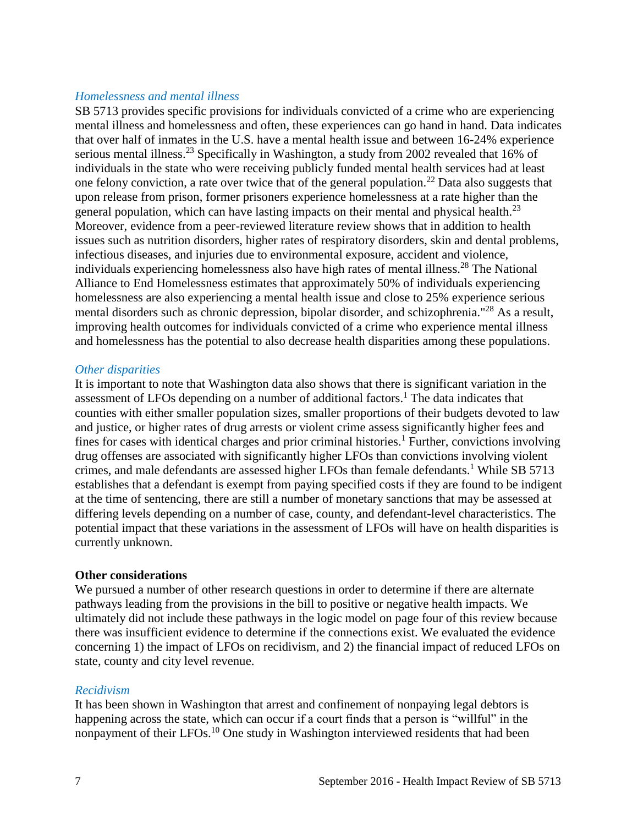#### *Homelessness and mental illness*

SB 5713 provides specific provisions for individuals convicted of a crime who are experiencing mental illness and homelessness and often, these experiences can go hand in hand. Data indicates that over half of inmates in the U.S. have a mental health issue and between 16-24% experience serious mental illness.<sup>[23](#page-16-2)</sup> Specifically in Washington, a study from 2002 revealed that 16% of individuals in the state who were receiving publicly funded mental health services had at least one felony conviction, a rate over twice that of the general population.<sup>[22](#page-16-1)</sup> Data also suggests that upon release from prison, former prisoners experience homelessness at a rate higher than the general population, which can have lasting impacts on their mental and physical health.<sup>[23](#page-16-2)</sup> Moreover, evidence from a peer-reviewed literature review shows that in addition to health issues such as nutrition disorders, higher rates of respiratory disorders, skin and dental problems, infectious diseases, and injuries due to environmental exposure, accident and violence, individuals experiencing homelessness also have high rates of mental illness. [28](#page-18-0) The National Alliance to End Homelessness estimates that approximately 50% of individuals experiencing homelessness are also experiencing a mental health issue and close to 25% experience serious mental disorders such as chronic depression, bipolar disorder, and schizophrenia."[28](#page-18-0) As a result, improving health outcomes for individuals convicted of a crime who experience mental illness and homelessness has the potential to also decrease health disparities among these populations.

#### *Other disparities*

It is important to note that Washington data also shows that there is significant variation in the assessment of LFOs depending on a number of additional factors.<sup>[1](#page-10-1)</sup> The data indicates that counties with either smaller population sizes, smaller proportions of their budgets devoted to law and justice, or higher rates of drug arrests or violent crime assess significantly higher fees and fines for cases with identical charges and prior criminal histories.<sup>[1](#page-10-1)</sup> Further, convictions involving drug offenses are associated with significantly higher LFOs than convictions involving violent crimes, and male defendants are assessed higher LFOs than female defendants.<sup>[1](#page-10-1)</sup> While SB 5713 establishes that a defendant is exempt from paying specified costs if they are found to be indigent at the time of sentencing, there are still a number of monetary sanctions that may be assessed at differing levels depending on a number of case, county, and defendant-level characteristics. The potential impact that these variations in the assessment of LFOs will have on health disparities is currently unknown.

#### **Other considerations**

We pursued a number of other research questions in order to determine if there are alternate pathways leading from the provisions in the bill to positive or negative health impacts. We ultimately did not include these pathways in the logic model on page four of this review because there was insufficient evidence to determine if the connections exist. We evaluated the evidence concerning 1) the impact of LFOs on recidivism, and 2) the financial impact of reduced LFOs on state, county and city level revenue.

#### *Recidivism*

It has been shown in Washington that arrest and confinement of nonpaying legal debtors is happening across the state, which can occur if a court finds that a person is "willful" in the nonpayment of their LFOs.<sup>[10](#page-13-1)</sup> One study in Washington interviewed residents that had been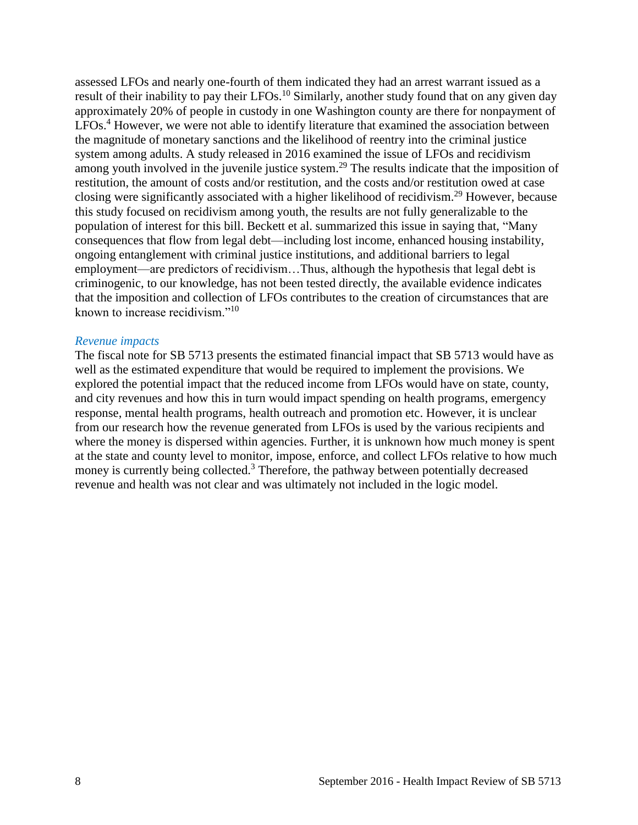assessed LFOs and nearly one-fourth of them indicated they had an arrest warrant issued as a result of their inability to pay their LFOs.<sup>[10](#page-13-1)</sup> Similarly, another study found that on any given day approximately 20% of people in custody in one Washington county are there for nonpayment of LFOs.<sup>[4](#page-11-0)</sup> However, we were not able to identify literature that examined the association between the magnitude of monetary sanctions and the likelihood of reentry into the criminal justice system among adults. A study released in 2016 examined the issue of LFOs and recidivism among youth involved in the juvenile justice system.<sup>[29](#page-18-1)</sup> The results indicate that the imposition of restitution, the amount of costs and/or restitution, and the costs and/or restitution owed at case closing were significantly associated with a higher likelihood of recidivism.[29](#page-18-1) However, because this study focused on recidivism among youth, the results are not fully generalizable to the population of interest for this bill. Beckett et al. summarized this issue in saying that, "Many consequences that flow from legal debt—including lost income, enhanced housing instability, ongoing entanglement with criminal justice institutions, and additional barriers to legal employment—are predictors of recidivism…Thus, although the hypothesis that legal debt is criminogenic, to our knowledge, has not been tested directly, the available evidence indicates that the imposition and collection of LFOs contributes to the creation of circumstances that are known to increase recidivism."[10](#page-13-1)

#### *Revenue impacts*

The fiscal note for SB 5713 presents the estimated financial impact that SB 5713 would have as well as the estimated expenditure that would be required to implement the provisions. We explored the potential impact that the reduced income from LFOs would have on state, county, and city revenues and how this in turn would impact spending on health programs, emergency response, mental health programs, health outreach and promotion etc. However, it is unclear from our research how the revenue generated from LFOs is used by the various recipients and where the money is dispersed within agencies. Further, it is unknown how much money is spent at the state and county level to monitor, impose, enforce, and collect LFOs relative to how much money is currently being collected.<sup>[3](#page-10-3)</sup> Therefore, the pathway between potentially decreased revenue and health was not clear and was ultimately not included in the logic model.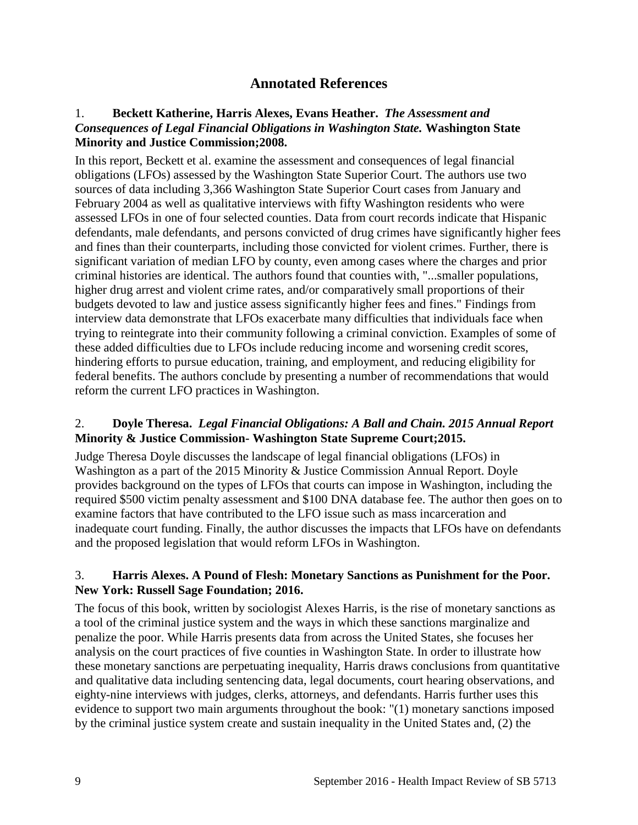# **Annotated References**

#### <span id="page-10-1"></span><span id="page-10-0"></span>1. **Beckett Katherine, Harris Alexes, Evans Heather.** *The Assessment and Consequences of Legal Financial Obligations in Washington State.* **Washington State Minority and Justice Commission;2008.**

In this report, Beckett et al. examine the assessment and consequences of legal financial obligations (LFOs) assessed by the Washington State Superior Court. The authors use two sources of data including 3,366 Washington State Superior Court cases from January and February 2004 as well as qualitative interviews with fifty Washington residents who were assessed LFOs in one of four selected counties. Data from court records indicate that Hispanic defendants, male defendants, and persons convicted of drug crimes have significantly higher fees and fines than their counterparts, including those convicted for violent crimes. Further, there is significant variation of median LFO by county, even among cases where the charges and prior criminal histories are identical. The authors found that counties with, "...smaller populations, higher drug arrest and violent crime rates, and/or comparatively small proportions of their budgets devoted to law and justice assess significantly higher fees and fines." Findings from interview data demonstrate that LFOs exacerbate many difficulties that individuals face when trying to reintegrate into their community following a criminal conviction. Examples of some of these added difficulties due to LFOs include reducing income and worsening credit scores, hindering efforts to pursue education, training, and employment, and reducing eligibility for federal benefits. The authors conclude by presenting a number of recommendations that would reform the current LFO practices in Washington.

#### <span id="page-10-2"></span>2. **Doyle Theresa.** *Legal Financial Obligations: A Ball and Chain. 2015 Annual Report*  **Minority & Justice Commission- Washington State Supreme Court;2015.**

Judge Theresa Doyle discusses the landscape of legal financial obligations (LFOs) in Washington as a part of the 2015 Minority & Justice Commission Annual Report. Doyle provides background on the types of LFOs that courts can impose in Washington, including the required \$500 victim penalty assessment and \$100 DNA database fee. The author then goes on to examine factors that have contributed to the LFO issue such as mass incarceration and inadequate court funding. Finally, the author discusses the impacts that LFOs have on defendants and the proposed legislation that would reform LFOs in Washington.

#### <span id="page-10-3"></span>3. **Harris Alexes. A Pound of Flesh: Monetary Sanctions as Punishment for the Poor. New York: Russell Sage Foundation; 2016.**

The focus of this book, written by sociologist Alexes Harris, is the rise of monetary sanctions as a tool of the criminal justice system and the ways in which these sanctions marginalize and penalize the poor. While Harris presents data from across the United States, she focuses her analysis on the court practices of five counties in Washington State. In order to illustrate how these monetary sanctions are perpetuating inequality, Harris draws conclusions from quantitative and qualitative data including sentencing data, legal documents, court hearing observations, and eighty-nine interviews with judges, clerks, attorneys, and defendants. Harris further uses this evidence to support two main arguments throughout the book: "(1) monetary sanctions imposed by the criminal justice system create and sustain inequality in the United States and, (2) the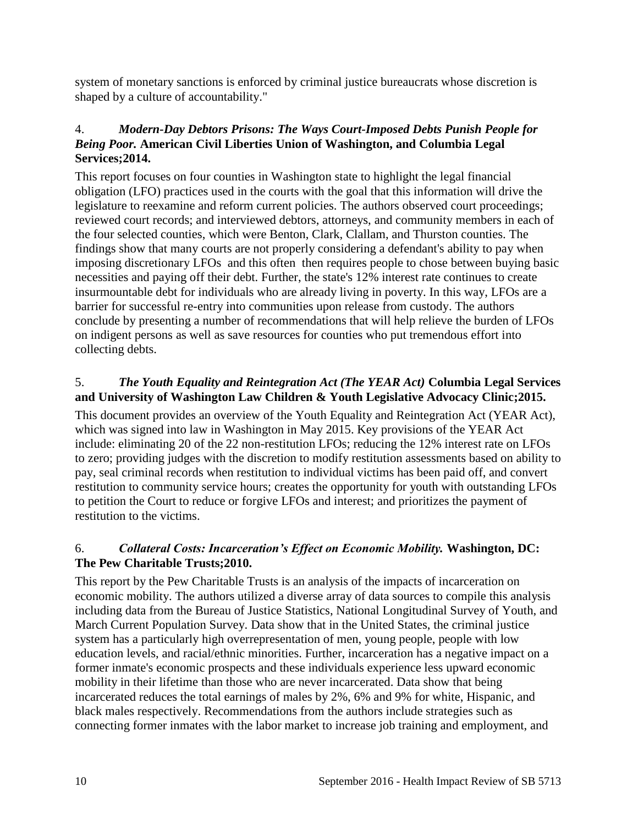system of monetary sanctions is enforced by criminal justice bureaucrats whose discretion is shaped by a culture of accountability."

#### <span id="page-11-0"></span>4.*Modern-Day Debtors Prisons: The Ways Court-Imposed Debts Punish People for Being Poor.* **American Civil Liberties Union of Washington, and Columbia Legal Services;2014.**

This report focuses on four counties in Washington state to highlight the legal financial obligation (LFO) practices used in the courts with the goal that this information will drive the legislature to reexamine and reform current policies. The authors observed court proceedings; reviewed court records; and interviewed debtors, attorneys, and community members in each of the four selected counties, which were Benton, Clark, Clallam, and Thurston counties. The findings show that many courts are not properly considering a defendant's ability to pay when imposing discretionary LFOs and this often then requires people to chose between buying basic necessities and paying off their debt. Further, the state's 12% interest rate continues to create insurmountable debt for individuals who are already living in poverty. In this way, LFOs are a barrier for successful re-entry into communities upon release from custody. The authors conclude by presenting a number of recommendations that will help relieve the burden of LFOs on indigent persons as well as save resources for counties who put tremendous effort into collecting debts.

#### <span id="page-11-1"></span>5.*The Youth Equality and Reintegration Act (The YEAR Act)* **Columbia Legal Services and University of Washington Law Children & Youth Legislative Advocacy Clinic;2015.**

This document provides an overview of the Youth Equality and Reintegration Act (YEAR Act), which was signed into law in Washington in May 2015. Key provisions of the YEAR Act include: eliminating 20 of the 22 non-restitution LFOs; reducing the 12% interest rate on LFOs to zero; providing judges with the discretion to modify restitution assessments based on ability to pay, seal criminal records when restitution to individual victims has been paid off, and convert restitution to community service hours; creates the opportunity for youth with outstanding LFOs to petition the Court to reduce or forgive LFOs and interest; and prioritizes the payment of restitution to the victims.

#### <span id="page-11-2"></span>6.*Collateral Costs: Incarceration's Effect on Economic Mobility.* **Washington, DC: The Pew Charitable Trusts;2010.**

This report by the Pew Charitable Trusts is an analysis of the impacts of incarceration on economic mobility. The authors utilized a diverse array of data sources to compile this analysis including data from the Bureau of Justice Statistics, National Longitudinal Survey of Youth, and March Current Population Survey. Data show that in the United States, the criminal justice system has a particularly high overrepresentation of men, young people, people with low education levels, and racial/ethnic minorities. Further, incarceration has a negative impact on a former inmate's economic prospects and these individuals experience less upward economic mobility in their lifetime than those who are never incarcerated. Data show that being incarcerated reduces the total earnings of males by 2%, 6% and 9% for white, Hispanic, and black males respectively. Recommendations from the authors include strategies such as connecting former inmates with the labor market to increase job training and employment, and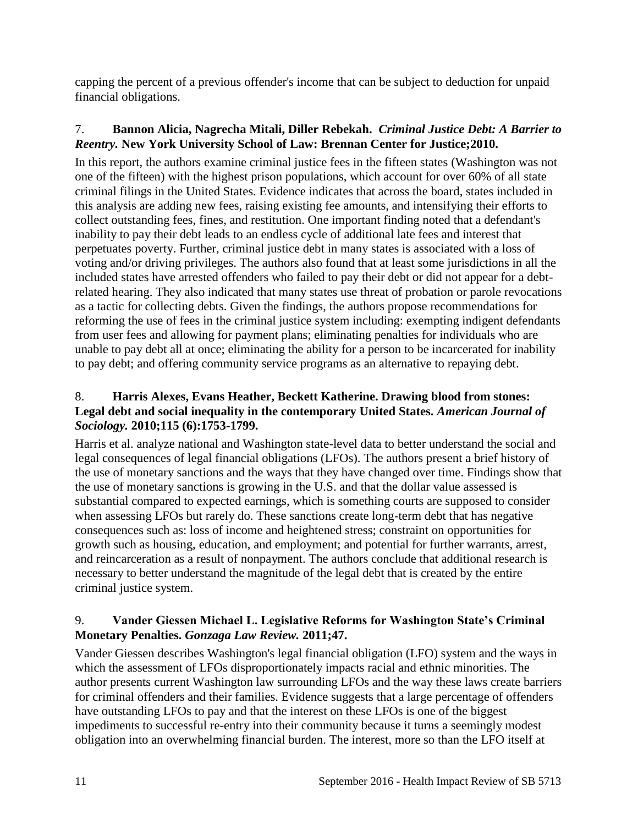capping the percent of a previous offender's income that can be subject to deduction for unpaid financial obligations.

# <span id="page-12-1"></span>7. **Bannon Alicia, Nagrecha Mitali, Diller Rebekah.** *Criminal Justice Debt: A Barrier to Reentry.* **New York University School of Law: Brennan Center for Justice;2010.**

In this report, the authors examine criminal justice fees in the fifteen states (Washington was not one of the fifteen) with the highest prison populations, which account for over 60% of all state criminal filings in the United States. Evidence indicates that across the board, states included in this analysis are adding new fees, raising existing fee amounts, and intensifying their efforts to collect outstanding fees, fines, and restitution. One important finding noted that a defendant's inability to pay their debt leads to an endless cycle of additional late fees and interest that perpetuates poverty. Further, criminal justice debt in many states is associated with a loss of voting and/or driving privileges. The authors also found that at least some jurisdictions in all the included states have arrested offenders who failed to pay their debt or did not appear for a debtrelated hearing. They also indicated that many states use threat of probation or parole revocations as a tactic for collecting debts. Given the findings, the authors propose recommendations for reforming the use of fees in the criminal justice system including: exempting indigent defendants from user fees and allowing for payment plans; eliminating penalties for individuals who are unable to pay debt all at once; eliminating the ability for a person to be incarcerated for inability to pay debt; and offering community service programs as an alternative to repaying debt.

#### <span id="page-12-0"></span>8. **Harris Alexes, Evans Heather, Beckett Katherine. Drawing blood from stones: Legal debt and social inequality in the contemporary United States.** *American Journal of Sociology.* **2010;115 (6):1753-1799.**

Harris et al. analyze national and Washington state-level data to better understand the social and legal consequences of legal financial obligations (LFOs). The authors present a brief history of the use of monetary sanctions and the ways that they have changed over time. Findings show that the use of monetary sanctions is growing in the U.S. and that the dollar value assessed is substantial compared to expected earnings, which is something courts are supposed to consider when assessing LFOs but rarely do. These sanctions create long-term debt that has negative consequences such as: loss of income and heightened stress; constraint on opportunities for growth such as housing, education, and employment; and potential for further warrants, arrest, and reincarceration as a result of nonpayment. The authors conclude that additional research is necessary to better understand the magnitude of the legal debt that is created by the entire criminal justice system.

# 9. **Vander Giessen Michael L. Legislative Reforms for Washington State's Criminal Monetary Penalties.** *Gonzaga Law Review.* **2011;47.**

Vander Giessen describes Washington's legal financial obligation (LFO) system and the ways in which the assessment of LFOs disproportionately impacts racial and ethnic minorities. The author presents current Washington law surrounding LFOs and the way these laws create barriers for criminal offenders and their families. Evidence suggests that a large percentage of offenders have outstanding LFOs to pay and that the interest on these LFOs is one of the biggest impediments to successful re-entry into their community because it turns a seemingly modest obligation into an overwhelming financial burden. The interest, more so than the LFO itself at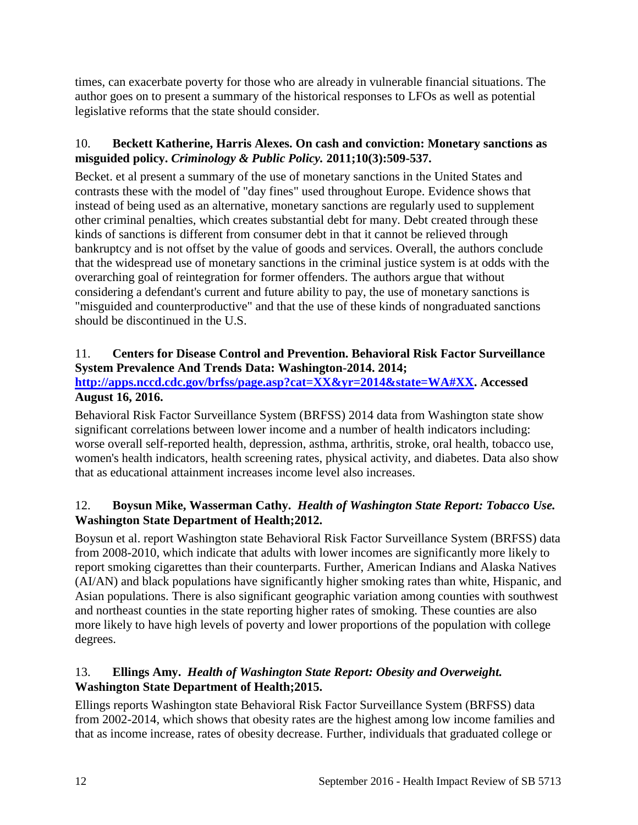times, can exacerbate poverty for those who are already in vulnerable financial situations. The author goes on to present a summary of the historical responses to LFOs as well as potential legislative reforms that the state should consider.

# <span id="page-13-1"></span>10. **Beckett Katherine, Harris Alexes. On cash and conviction: Monetary sanctions as misguided policy.** *Criminology & Public Policy.* **2011;10(3):509-537.**

Becket. et al present a summary of the use of monetary sanctions in the United States and contrasts these with the model of "day fines" used throughout Europe. Evidence shows that instead of being used as an alternative, monetary sanctions are regularly used to supplement other criminal penalties, which creates substantial debt for many. Debt created through these kinds of sanctions is different from consumer debt in that it cannot be relieved through bankruptcy and is not offset by the value of goods and services. Overall, the authors conclude that the widespread use of monetary sanctions in the criminal justice system is at odds with the overarching goal of reintegration for former offenders. The authors argue that without considering a defendant's current and future ability to pay, the use of monetary sanctions is "misguided and counterproductive" and that the use of these kinds of nongraduated sanctions should be discontinued in the U.S.

# <span id="page-13-0"></span>11. **Centers for Disease Control and Prevention. Behavioral Risk Factor Surveillance System Prevalence And Trends Data: Washington-2014. 2014;**

#### **[http://apps.nccd.cdc.gov/brfss/page.asp?cat=XX&yr=2014&state=WA#XX.](http://apps.nccd.cdc.gov/brfss/page.asp?cat=XX&yr=2014&state=WA#XX) Accessed August 16, 2016.**

Behavioral Risk Factor Surveillance System (BRFSS) 2014 data from Washington state show significant correlations between lower income and a number of health indicators including: worse overall self-reported health, depression, asthma, arthritis, stroke, oral health, tobacco use, women's health indicators, health screening rates, physical activity, and diabetes. Data also show that as educational attainment increases income level also increases.

# <span id="page-13-2"></span>12. **Boysun Mike, Wasserman Cathy.** *Health of Washington State Report: Tobacco Use.* **Washington State Department of Health;2012.**

Boysun et al. report Washington state Behavioral Risk Factor Surveillance System (BRFSS) data from 2008-2010, which indicate that adults with lower incomes are significantly more likely to report smoking cigarettes than their counterparts. Further, American Indians and Alaska Natives (AI/AN) and black populations have significantly higher smoking rates than white, Hispanic, and Asian populations. There is also significant geographic variation among counties with southwest and northeast counties in the state reporting higher rates of smoking. These counties are also more likely to have high levels of poverty and lower proportions of the population with college degrees.

# 13. **Ellings Amy.** *Health of Washington State Report: Obesity and Overweight.* **Washington State Department of Health;2015.**

Ellings reports Washington state Behavioral Risk Factor Surveillance System (BRFSS) data from 2002-2014, which shows that obesity rates are the highest among low income families and that as income increase, rates of obesity decrease. Further, individuals that graduated college or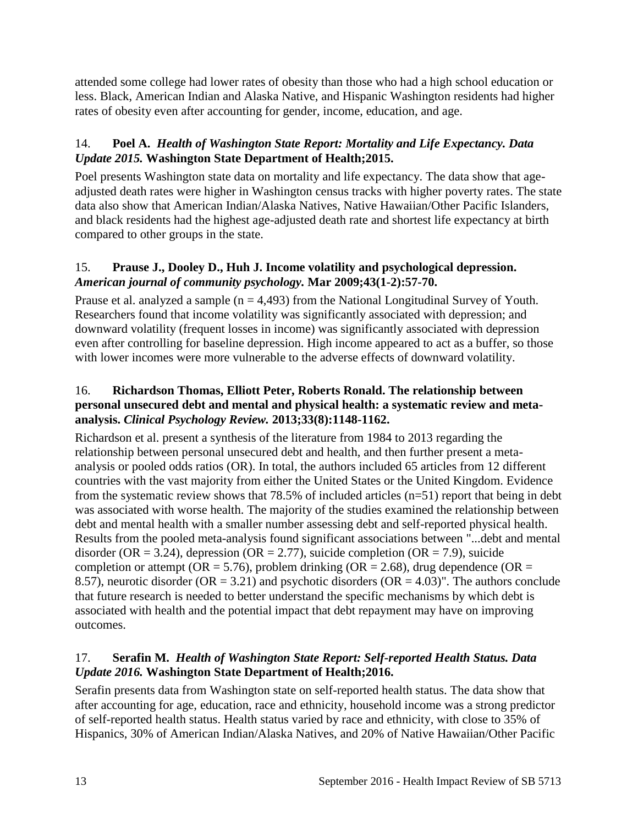attended some college had lower rates of obesity than those who had a high school education or less. Black, American Indian and Alaska Native, and Hispanic Washington residents had higher rates of obesity even after accounting for gender, income, education, and age.

# <span id="page-14-0"></span>14. **Poel A.** *Health of Washington State Report: Mortality and Life Expectancy. Data Update 2015.* **Washington State Department of Health;2015.**

Poel presents Washington state data on mortality and life expectancy. The data show that ageadjusted death rates were higher in Washington census tracks with higher poverty rates. The state data also show that American Indian/Alaska Natives, Native Hawaiian/Other Pacific Islanders, and black residents had the highest age-adjusted death rate and shortest life expectancy at birth compared to other groups in the state.

# <span id="page-14-2"></span>15. **Prause J., Dooley D., Huh J. Income volatility and psychological depression.**  *American journal of community psychology.* **Mar 2009;43(1-2):57-70.**

Prause et al. analyzed a sample  $(n = 4,493)$  from the National Longitudinal Survey of Youth. Researchers found that income volatility was significantly associated with depression; and downward volatility (frequent losses in income) was significantly associated with depression even after controlling for baseline depression. High income appeared to act as a buffer, so those with lower incomes were more vulnerable to the adverse effects of downward volatility.

#### <span id="page-14-3"></span>16. **Richardson Thomas, Elliott Peter, Roberts Ronald. The relationship between personal unsecured debt and mental and physical health: a systematic review and metaanalysis.** *Clinical Psychology Review.* **2013;33(8):1148-1162.**

Richardson et al. present a synthesis of the literature from 1984 to 2013 regarding the relationship between personal unsecured debt and health, and then further present a metaanalysis or pooled odds ratios (OR). In total, the authors included 65 articles from 12 different countries with the vast majority from either the United States or the United Kingdom. Evidence from the systematic review shows that 78.5% of included articles (n=51) report that being in debt was associated with worse health. The majority of the studies examined the relationship between debt and mental health with a smaller number assessing debt and self-reported physical health. Results from the pooled meta-analysis found significant associations between "...debt and mental disorder (OR = 3.24), depression (OR = 2.77), suicide completion (OR = 7.9), suicide completion or attempt ( $OR = 5.76$ ), problem drinking ( $OR = 2.68$ ), drug dependence ( $OR =$ 8.57), neurotic disorder ( $OR = 3.21$ ) and psychotic disorders ( $OR = 4.03$ )". The authors conclude that future research is needed to better understand the specific mechanisms by which debt is associated with health and the potential impact that debt repayment may have on improving outcomes.

# <span id="page-14-1"></span>17. **Serafin M.** *Health of Washington State Report: Self-reported Health Status. Data Update 2016.* **Washington State Department of Health;2016.**

Serafin presents data from Washington state on self-reported health status. The data show that after accounting for age, education, race and ethnicity, household income was a strong predictor of self-reported health status. Health status varied by race and ethnicity, with close to 35% of Hispanics, 30% of American Indian/Alaska Natives, and 20% of Native Hawaiian/Other Pacific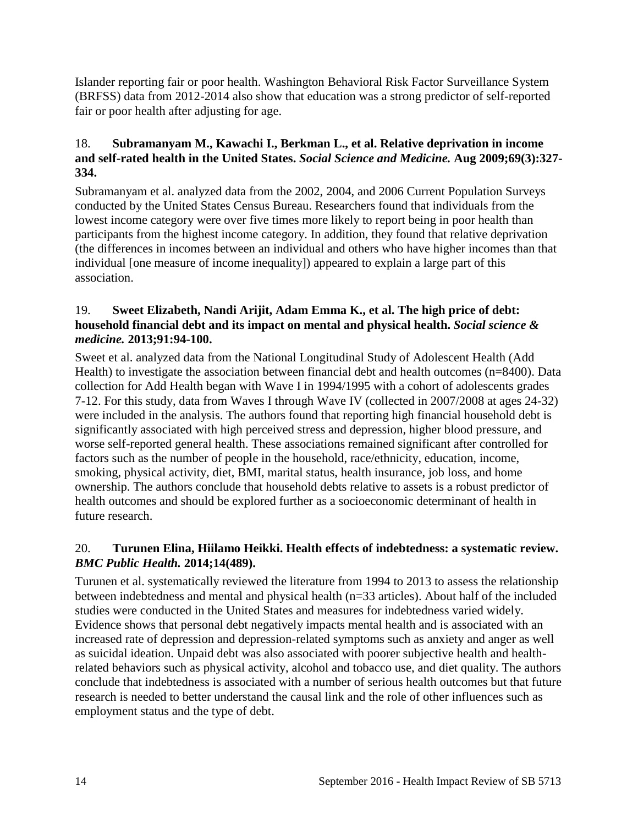Islander reporting fair or poor health. Washington Behavioral Risk Factor Surveillance System (BRFSS) data from 2012-2014 also show that education was a strong predictor of self-reported fair or poor health after adjusting for age.

#### <span id="page-15-0"></span>18. **Subramanyam M., Kawachi I., Berkman L., et al. Relative deprivation in income and self-rated health in the United States.** *Social Science and Medicine.* **Aug 2009;69(3):327- 334.**

Subramanyam et al. analyzed data from the 2002, 2004, and 2006 Current Population Surveys conducted by the United States Census Bureau. Researchers found that individuals from the lowest income category were over five times more likely to report being in poor health than participants from the highest income category. In addition, they found that relative deprivation (the differences in incomes between an individual and others who have higher incomes than that individual [one measure of income inequality]) appeared to explain a large part of this association.

#### <span id="page-15-1"></span>19. **Sweet Elizabeth, Nandi Arijit, Adam Emma K., et al. The high price of debt: household financial debt and its impact on mental and physical health.** *Social science & medicine.* **2013;91:94-100.**

Sweet et al. analyzed data from the National Longitudinal Study of Adolescent Health (Add Health) to investigate the association between financial debt and health outcomes (n=8400). Data collection for Add Health began with Wave I in 1994/1995 with a cohort of adolescents grades 7-12. For this study, data from Waves I through Wave IV (collected in 2007/2008 at ages 24-32) were included in the analysis. The authors found that reporting high financial household debt is significantly associated with high perceived stress and depression, higher blood pressure, and worse self-reported general health. These associations remained significant after controlled for factors such as the number of people in the household, race/ethnicity, education, income, smoking, physical activity, diet, BMI, marital status, health insurance, job loss, and home ownership. The authors conclude that household debts relative to assets is a robust predictor of health outcomes and should be explored further as a socioeconomic determinant of health in future research.

#### <span id="page-15-2"></span>20. **Turunen Elina, Hiilamo Heikki. Health effects of indebtedness: a systematic review.**  *BMC Public Health.* **2014;14(489).**

Turunen et al. systematically reviewed the literature from 1994 to 2013 to assess the relationship between indebtedness and mental and physical health (n=33 articles). About half of the included studies were conducted in the United States and measures for indebtedness varied widely. Evidence shows that personal debt negatively impacts mental health and is associated with an increased rate of depression and depression-related symptoms such as anxiety and anger as well as suicidal ideation. Unpaid debt was also associated with poorer subjective health and healthrelated behaviors such as physical activity, alcohol and tobacco use, and diet quality. The authors conclude that indebtedness is associated with a number of serious health outcomes but that future research is needed to better understand the causal link and the role of other influences such as employment status and the type of debt.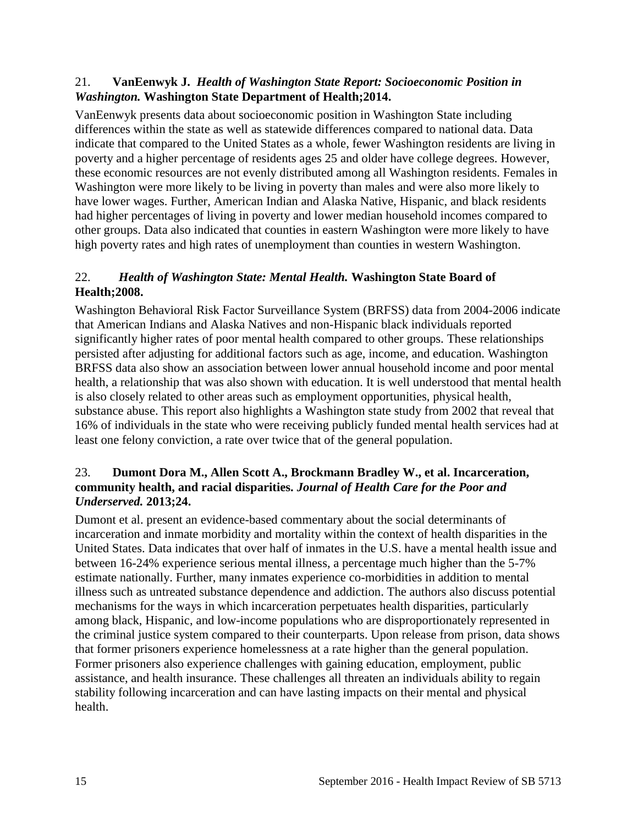#### <span id="page-16-0"></span>21. **VanEenwyk J.** *Health of Washington State Report: Socioeconomic Position in Washington.* **Washington State Department of Health;2014.**

VanEenwyk presents data about socioeconomic position in Washington State including differences within the state as well as statewide differences compared to national data. Data indicate that compared to the United States as a whole, fewer Washington residents are living in poverty and a higher percentage of residents ages 25 and older have college degrees. However, these economic resources are not evenly distributed among all Washington residents. Females in Washington were more likely to be living in poverty than males and were also more likely to have lower wages. Further, American Indian and Alaska Native, Hispanic, and black residents had higher percentages of living in poverty and lower median household incomes compared to other groups. Data also indicated that counties in eastern Washington were more likely to have high poverty rates and high rates of unemployment than counties in western Washington.

# <span id="page-16-1"></span>22.*Health of Washington State: Mental Health.* **Washington State Board of Health;2008.**

Washington Behavioral Risk Factor Surveillance System (BRFSS) data from 2004-2006 indicate that American Indians and Alaska Natives and non-Hispanic black individuals reported significantly higher rates of poor mental health compared to other groups. These relationships persisted after adjusting for additional factors such as age, income, and education. Washington BRFSS data also show an association between lower annual household income and poor mental health, a relationship that was also shown with education. It is well understood that mental health is also closely related to other areas such as employment opportunities, physical health, substance abuse. This report also highlights a Washington state study from 2002 that reveal that 16% of individuals in the state who were receiving publicly funded mental health services had at least one felony conviction, a rate over twice that of the general population.

#### <span id="page-16-2"></span>23. **Dumont Dora M., Allen Scott A., Brockmann Bradley W., et al. Incarceration, community health, and racial disparities.** *Journal of Health Care for the Poor and Underserved.* **2013;24.**

Dumont et al. present an evidence-based commentary about the social determinants of incarceration and inmate morbidity and mortality within the context of health disparities in the United States. Data indicates that over half of inmates in the U.S. have a mental health issue and between 16-24% experience serious mental illness, a percentage much higher than the 5-7% estimate nationally. Further, many inmates experience co-morbidities in addition to mental illness such as untreated substance dependence and addiction. The authors also discuss potential mechanisms for the ways in which incarceration perpetuates health disparities, particularly among black, Hispanic, and low-income populations who are disproportionately represented in the criminal justice system compared to their counterparts. Upon release from prison, data shows that former prisoners experience homelessness at a rate higher than the general population. Former prisoners also experience challenges with gaining education, employment, public assistance, and health insurance. These challenges all threaten an individuals ability to regain stability following incarceration and can have lasting impacts on their mental and physical health.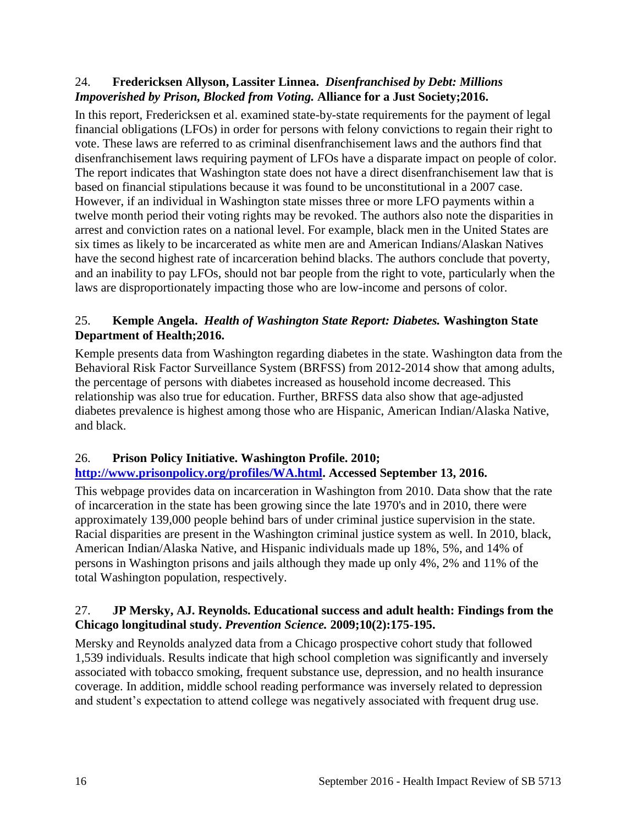#### <span id="page-17-2"></span>24. **Fredericksen Allyson, Lassiter Linnea.** *Disenfranchised by Debt: Millions Impoverished by Prison, Blocked from Voting.* **Alliance for a Just Society;2016.**

In this report, Fredericksen et al. examined state-by-state requirements for the payment of legal financial obligations (LFOs) in order for persons with felony convictions to regain their right to vote. These laws are referred to as criminal disenfranchisement laws and the authors find that disenfranchisement laws requiring payment of LFOs have a disparate impact on people of color. The report indicates that Washington state does not have a direct disenfranchisement law that is based on financial stipulations because it was found to be unconstitutional in a 2007 case. However, if an individual in Washington state misses three or more LFO payments within a twelve month period their voting rights may be revoked. The authors also note the disparities in arrest and conviction rates on a national level. For example, black men in the United States are six times as likely to be incarcerated as white men are and American Indians/Alaskan Natives have the second highest rate of incarceration behind blacks. The authors conclude that poverty, and an inability to pay LFOs, should not bar people from the right to vote, particularly when the laws are disproportionately impacting those who are low-income and persons of color.

#### <span id="page-17-0"></span>25. **Kemple Angela.** *Health of Washington State Report: Diabetes.* **Washington State Department of Health;2016.**

Kemple presents data from Washington regarding diabetes in the state. Washington data from the Behavioral Risk Factor Surveillance System (BRFSS) from 2012-2014 show that among adults, the percentage of persons with diabetes increased as household income decreased. This relationship was also true for education. Further, BRFSS data also show that age-adjusted diabetes prevalence is highest among those who are Hispanic, American Indian/Alaska Native, and black.

# <span id="page-17-3"></span>26. **Prison Policy Initiative. Washington Profile. 2010;**

# **[http://www.prisonpolicy.org/profiles/WA.html.](http://www.prisonpolicy.org/profiles/WA.html) Accessed September 13, 2016.**

This webpage provides data on incarceration in Washington from 2010. Data show that the rate of incarceration in the state has been growing since the late 1970's and in 2010, there were approximately 139,000 people behind bars of under criminal justice supervision in the state. Racial disparities are present in the Washington criminal justice system as well. In 2010, black, American Indian/Alaska Native, and Hispanic individuals made up 18%, 5%, and 14% of persons in Washington prisons and jails although they made up only 4%, 2% and 11% of the total Washington population, respectively.

#### <span id="page-17-1"></span>27. **JP Mersky, AJ. Reynolds. Educational success and adult health: Findings from the Chicago longitudinal study.** *Prevention Science.* **2009;10(2):175-195.**

Mersky and Reynolds analyzed data from a Chicago prospective cohort study that followed 1,539 individuals. Results indicate that high school completion was significantly and inversely associated with tobacco smoking, frequent substance use, depression, and no health insurance coverage. In addition, middle school reading performance was inversely related to depression and student's expectation to attend college was negatively associated with frequent drug use.